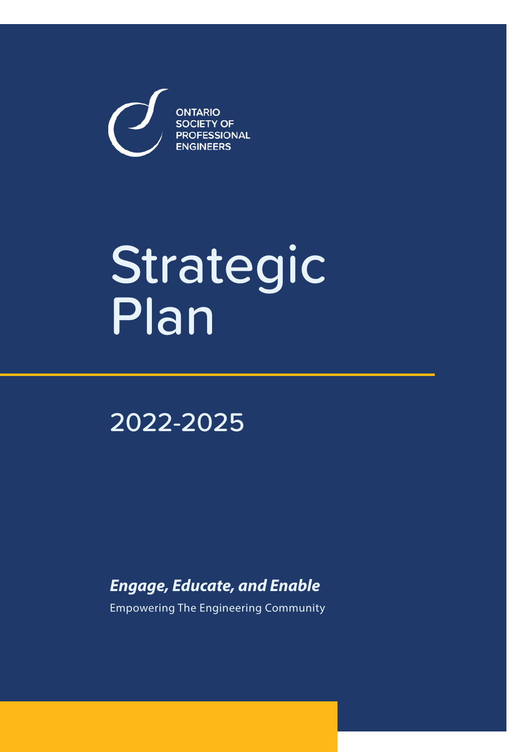**ONTARIO SOCIETY OF PROFESSIONAL ENGINEERS** 

# Strategic Plan

2022-2025

*Engage, Educate, and Enable*

Empowering The Engineering Community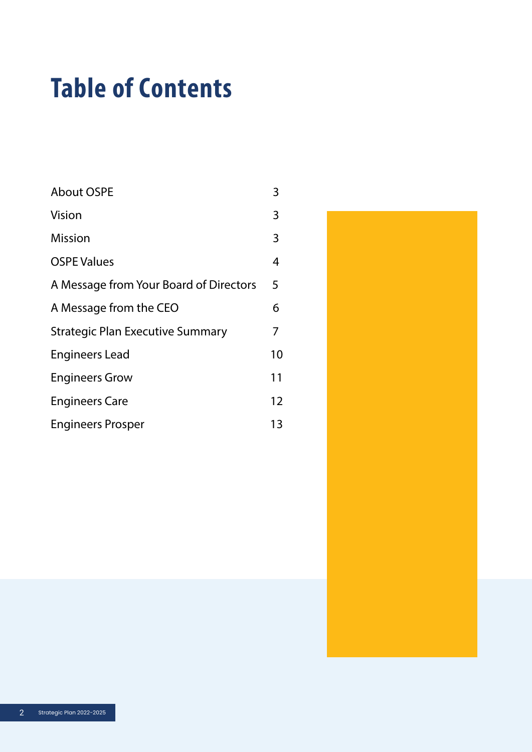# Table of Contents

| <b>About OSPE</b>                       | 3  |
|-----------------------------------------|----|
| Vision                                  | 3  |
| <b>Mission</b>                          | 3  |
| <b>OSPE Values</b>                      | 4  |
| A Message from Your Board of Directors  | 5  |
| A Message from the CEO                  | 6  |
| <b>Strategic Plan Executive Summary</b> | 7  |
| <b>Engineers Lead</b>                   | 10 |
| <b>Engineers Grow</b>                   | 11 |
| <b>Engineers Care</b>                   | 12 |
| <b>Engineers Prosper</b>                | 13 |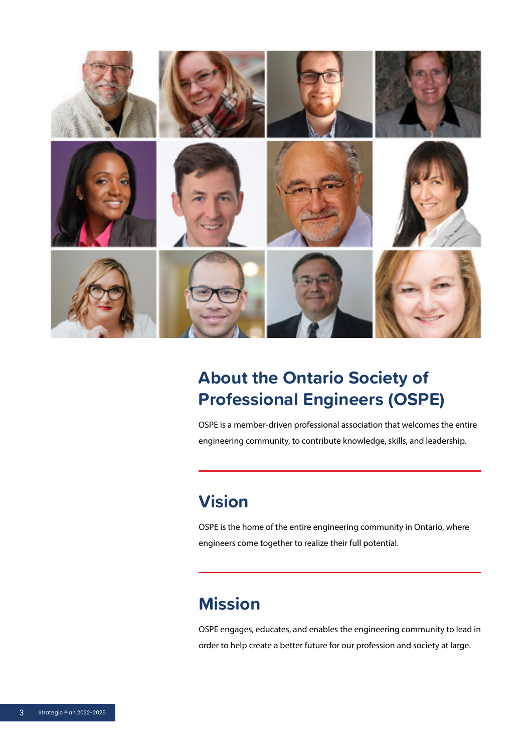

### **About the Ontario Society of Professional Engineers (OSPE)**

OSPE is a member-driven professional association that welcomes the entire engineering community, to contribute knowledge, skills, and leadership.

### **Vision**

OSPE is the home of the entire engineering community in Ontario, where engineers come together to realize their full potential.

### **Mission**

OSPE engages, educates, and enables the engineering community to lead in order to help create a better future for our profession and society at large.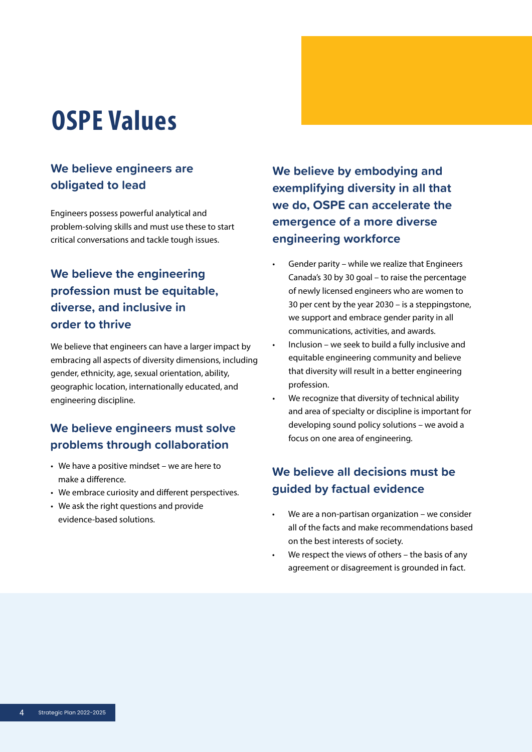## OSPE Values

#### **obligated to lead We believe engineers are**

erroreta possess powerta .<br>critical conversations and tackle tough issues. Engineers possess powerful analytical and problem-solving skills and must use these to start

#### **We believe the engineering profession must be equitable, diverse, and inclusive in order to thrive**

We believe that engineers can have a larger impact by embracing all aspects of diversity dimensions, including gender, ethnicity, age, sexual orientation, ability, geographic location, internationally educated, and engineering discipline.

#### **We believe engineers must solve problems through collaboration**

- We have a positive mindset we are here to make a difference.
	- We embrace curiosity and different perspectives.
	- We ask the right questions and provide evidence-based solutions.

**We believe by embodying and exemplifying diversity in all that we do, OSPE can accelerate the emergence of a more diverse engineering workforce** 

- Gender parity while we realize that Engineers Canada's 30 by 30 goal – to raise the percentage of newly licensed engineers who are women to 30 per cent by the year 2030 – is a steppingstone, we support and embrace gender parity in all communications, activities, and awards.
- Inclusion we seek to build a fully inclusive and equitable engineering community and believe that diversity will result in a better engineering profession.
- We recognize that diversity of technical ability and area of specialty or discipline is important for developing sound policy solutions – we avoid a focus on one area of engineering.

#### **We believe all decisions must be guided by factual evidence**

- We are a non-partisan organization we consider all of the facts and make recommendations based on the best interests of society.
- We respect the views of others  $-$  the basis of any agreement or disagreement is grounded in fact.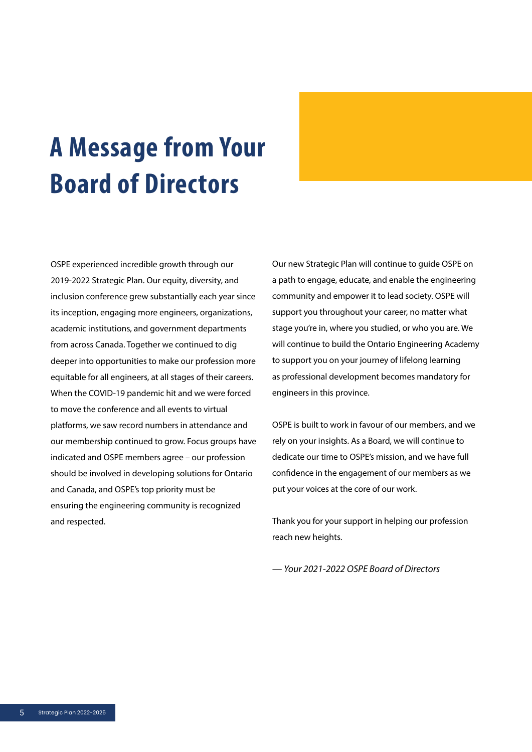# A Message from Your Board of Directors

OSPE experienced incredible growth through our 2019-2022 Strategic Plan. Our equity, diversity, and inclusion conference grew substantially each year since its inception, engaging more engineers, organizations, academic institutions, and government departments from across Canada. Together we continued to dig deeper into opportunities to make our profession more equitable for all engineers, at all stages of their careers. When the COVID-19 pandemic hit and we were forced to move the conference and all events to virtual platforms, we saw record numbers in attendance and our membership continued to grow. Focus groups have indicated and OSPE members agree – our profession should be involved in developing solutions for Ontario and Canada, and OSPE's top priority must be ensuring the engineering community is recognized and respected.

Our new Strategic Plan will continue to guide OSPE on a path to engage, educate, and enable the engineering community and empower it to lead society. OSPE will support you throughout your career, no matter what stage you're in, where you studied, or who you are. We will continue to build the Ontario Engineering Academy to support you on your journey of lifelong learning as professional development becomes mandatory for engineers in this province.

OSPE is built to work in favour of our members, and we rely on your insights. As a Board, we will continue to dedicate our time to OSPE's mission, and we have full confidence in the engagement of our members as we put your voices at the core of our work.

Thank you for your support in helping our profession reach new heights.

*— Your 2021-2022 OSPE Board of Directors*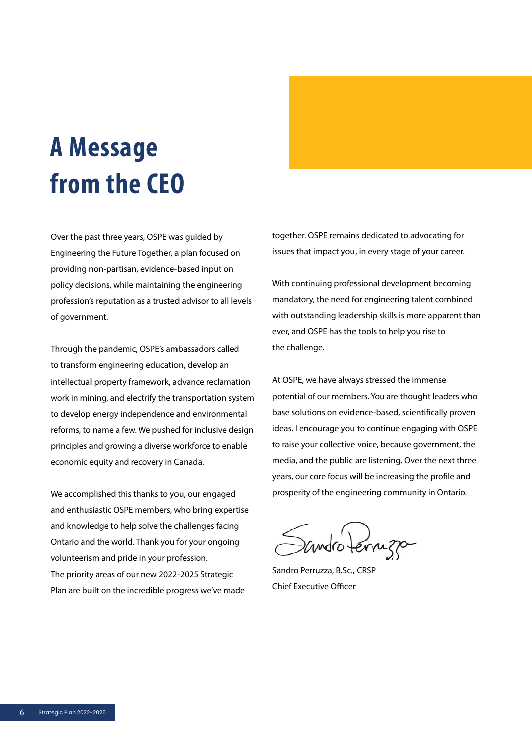# A Message from the CEO

Over the past three years, OSPE was guided by Engineering the Future Together, a plan focused on providing non-partisan, evidence-based input on policy decisions, while maintaining the engineering profession's reputation as a trusted advisor to all levels of government.

Through the pandemic, OSPE's ambassadors called to transform engineering education, develop an intellectual property framework, advance reclamation work in mining, and electrify the transportation system to develop energy independence and environmental reforms, to name a few. We pushed for inclusive design principles and growing a diverse workforce to enable economic equity and recovery in Canada.

We accomplished this thanks to you, our engaged and enthusiastic OSPE members, who bring expertise and knowledge to help solve the challenges facing Ontario and the world. Thank you for your ongoing volunteerism and pride in your profession. The priority areas of our new 2022-2025 Strategic Plan are built on the incredible progress we've made

together. OSPE remains dedicated to advocating for issues that impact you, in every stage of your career.

With continuing professional development becoming mandatory, the need for engineering talent combined with outstanding leadership skills is more apparent than ever, and OSPE has the tools to help you rise to the challenge.

At OSPE, we have always stressed the immense potential of our members. You are thought leaders who base solutions on evidence-based, scientifically proven ideas. I encourage you to continue engaging with OSPE to raise your collective voice, because government, the media, and the public are listening. Over the next three years, our core focus will be increasing the profile and prosperity of the engineering community in Ontario.

andro terrizo

Sandro Perruzza, B.Sc., CRSP Chief Executive Officer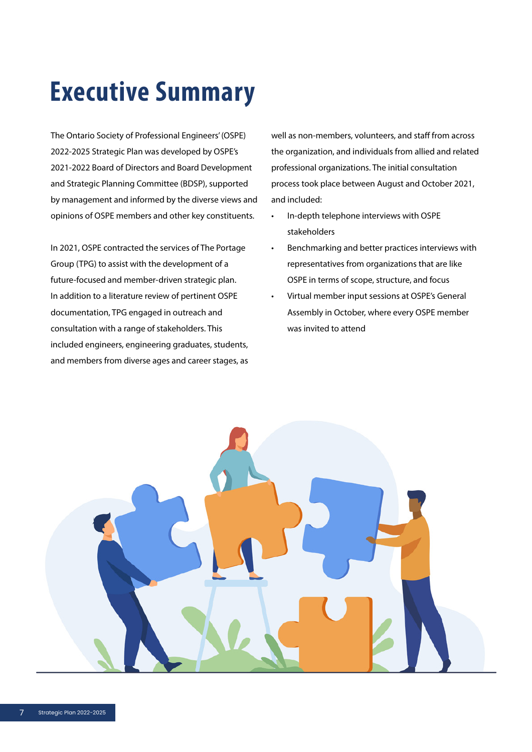# Executive Summary

The Ontario Society of Professional Engineers' (OSPE) 2022-2025 Strategic Plan was developed by OSPE's 2021-2022 Board of Directors and Board Development and Strategic Planning Committee (BDSP), supported by management and informed by the diverse views and opinions of OSPE members and other key constituents.

In 2021, OSPE contracted the services of The Portage Group (TPG) to assist with the development of a future-focused and member-driven strategic plan. In addition to a literature review of pertinent OSPE documentation, TPG engaged in outreach and consultation with a range of stakeholders. This included engineers, engineering graduates, students, and members from diverse ages and career stages, as well as non-members, volunteers, and staff from across the organization, and individuals from allied and related professional organizations. The initial consultation process took place between August and October 2021, and included:

- In-depth telephone interviews with OSPE stakeholders
- Benchmarking and better practices interviews with representatives from organizations that are like OSPE in terms of scope, structure, and focus
- Virtual member input sessions at OSPE's General Assembly in October, where every OSPE member was invited to attend

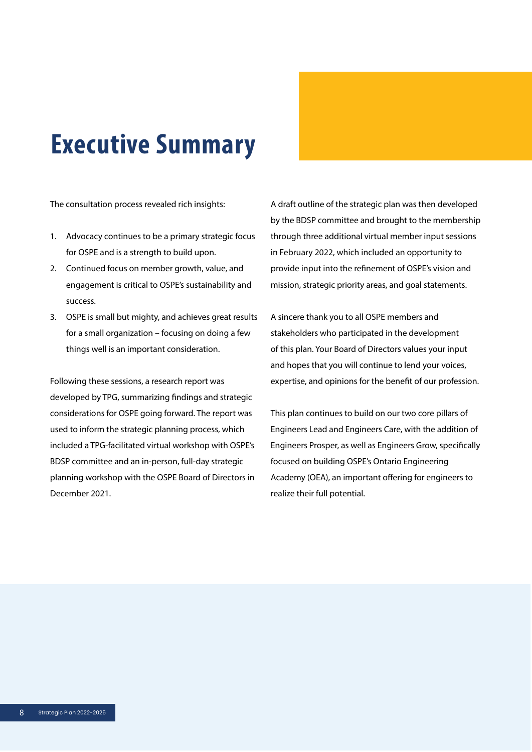## Executive Summary

The consultation process revealed rich insights:

- 1. Advocacy continues to be a primary strategic focus for OSPE and is a strength to build upon.
- 2. Continued focus on member growth, value, and engagement is critical to OSPE's sustainability and success.
- 3. OSPE is small but mighty, and achieves great results for a small organization – focusing on doing a few things well is an important consideration.

Following these sessions, a research report was developed by TPG, summarizing findings and strategic considerations for OSPE going forward. The report was used to inform the strategic planning process, which included a TPG-facilitated virtual workshop with OSPE's BDSP committee and an in-person, full-day strategic planning workshop with the OSPE Board of Directors in December 2021.

A draft outline of the strategic plan was then developed by the BDSP committee and brought to the membership through three additional virtual member input sessions in February 2022, which included an opportunity to provide input into the refinement of OSPE's vision and mission, strategic priority areas, and goal statements.

A sincere thank you to all OSPE members and stakeholders who participated in the development of this plan. Your Board of Directors values your input and hopes that you will continue to lend your voices, expertise, and opinions for the benefit of our profession.

This plan continues to build on our two core pillars of Engineers Lead and Engineers Care, with the addition of Engineers Prosper, as well as Engineers Grow, specifically focused on building OSPE's Ontario Engineering Academy (OEA), an important offering for engineers to realize their full potential.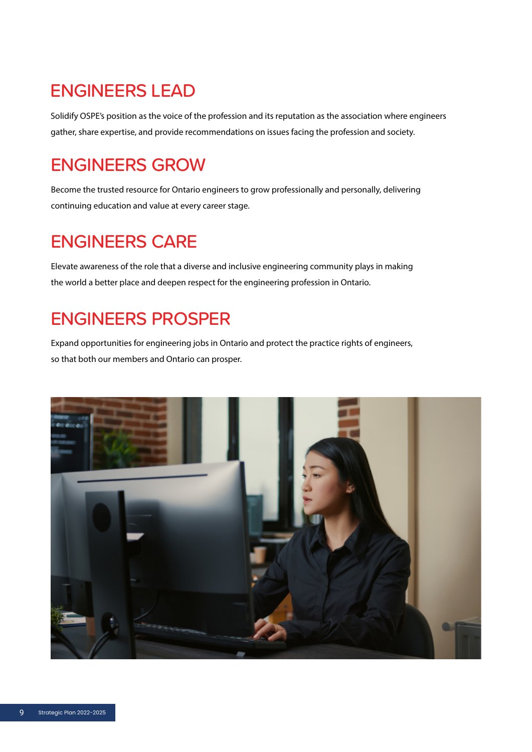### ENGINEERS LEAD

Solidify OSPE's position as the voice of the profession and its reputation as the association where engineers gather, share expertise, and provide recommendations on issues facing the profession and society.

### ENGINEERS GROW

Become the trusted resource for Ontario engineers to grow professionally and personally, delivering continuing education and value at every career stage.

### ENGINEERS CARE

Elevate awareness of the role that a diverse and inclusive engineering community plays in making the world a better place and deepen respect for the engineering profession in Ontario.

### ENGINEERS PROSPER

Expand opportunities for engineering jobs in Ontario and protect the practice rights of engineers, so that both our members and Ontario can prosper.

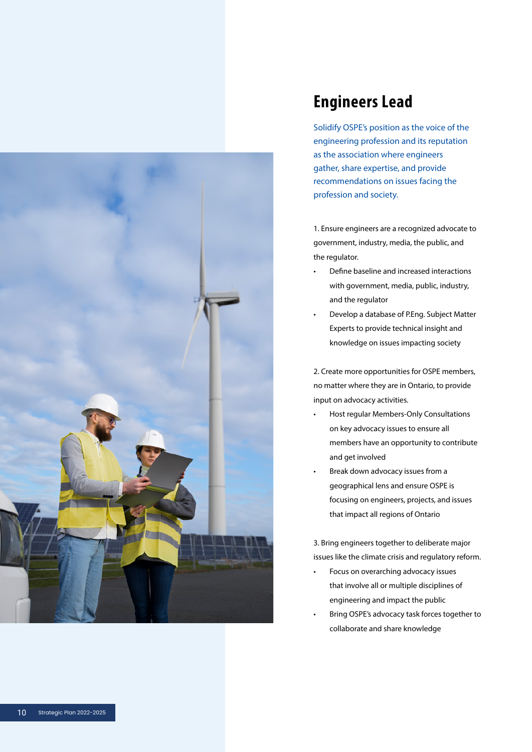

#### Engineers Lead

Solidify OSPE's position as the voice of the engineering profession and its reputation as the association where engineers gather, share expertise, and provide recommendations on issues facing the profession and society.

1. Ensure engineers are a recognized advocate to government, industry, media, the public, and the regulator.

- Define baseline and increased interactions with government, media, public, industry, and the regulator
- Develop a database of P.Eng. Subject Matter Experts to provide technical insight and knowledge on issues impacting society

2. Create more opportunities for OSPE members, no matter where they are in Ontario, to provide input on advocacy activities.<br>• Host regular Members-Only Consultations

- on key advocacy issues to ensure all members have an opportunity to contribute and get involved
- Break down advocacy issues from a geographical lens and ensure OSPE is focusing on engineers, projects, and issues that impact all regions of Ontario

3. Bring engineers together to deliberate major issues like the climate crisis and regulatory reform.

- Focus on overarching advocacy issues that involve all or multiple disciplines of engineering and impact the public
- Bring OSPE's advocacy task forces together to collaborate and share knowledge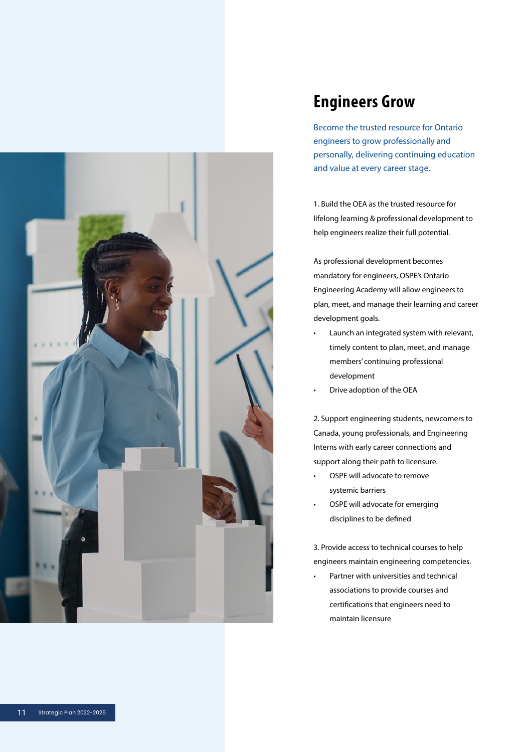

### Engineers Grow

Become the trusted resource for Ontario engineers to grow professionally and personally, delivering continuing education and value at every career stage.

1. Build the OEA as the trusted resource for lifelong learning & professional development to help engineers realize their full potential.

As professional development becomes mandatory for engineers, OSPE's Ontario Engineering Academy will allow engineers to plan, meet, and manage their learning and career development goals.

- Launch an integrated system with relevant, timely content to plan, meet, and manage members' continuing professional development
- Drive adoption of the OEA

2. Support engineering students, newcomers to Canada, young professionals, and Engineering Interns with early career connections and support along their path to licensure.<br>• OSPE will advocate to remove

- systemic barriers
- OSPE will advocate for emerging disciplines to be defined

3. Provide access to technical courses to help engineers maintain engineering competencies.<br>• Partner with universities and technical

associations to provide courses and certifications that engineers need to maintain licensure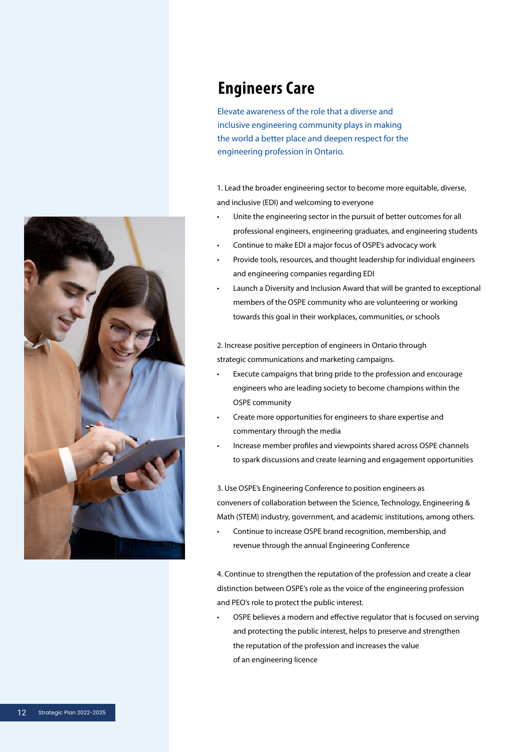

#### Engineers Care

Elevate awareness of the role that a diverse and inclusive engineering community plays in making the world a better place and deepen respect for the engineering profession in Ontario.

1. Lead the broader engineering sector to become more equitable, diverse, and inclusive (EDI) and welcoming to everyone

- Unite the engineering sector in the pursuit of better outcomes for all professional engineers, engineering graduates, and engineering students
- Continue to make EDI a major focus of OSPE's advocacy work
- Provide tools, resources, and thought leadership for individual engineers and engineering companies regarding EDI
- Launch a Diversity and Inclusion Award that will be granted to exceptional members of the OSPE community who are volunteering or working towards this goal in their workplaces, communities, or schools

2. Increase positive perception of engineers in Ontario through strategic communications and marketing campaigns.

- Execute campaigns that bring pride to the profession and encourage engineers who are leading society to become champions within the OSPE community
- Create more opportunities for engineers to share expertise and commentary through the media
- Increase member profiles and viewpoints shared across OSPE channels to spark discussions and create learning and engagement opportunities

3. Use OSPE's Engineering Conference to position engineers as conveners of collaboration between the Science, Technology, Engineering & Math (STEM) industry, government, and academic institutions, among others.

• Continue to increase OSPE brand recognition, membership, and revenue through the annual Engineering Conference

4. Continue to strengthen the reputation of the profession and create a clear distinction between OSPE's role as the voice of the engineering profession and PEO's role to protect the public interest.

• OSPE believes a modern and effective regulator that is focused on serving and protecting the public interest, helps to preserve and strengthen the reputation of the profession and increases the value of an engineering licence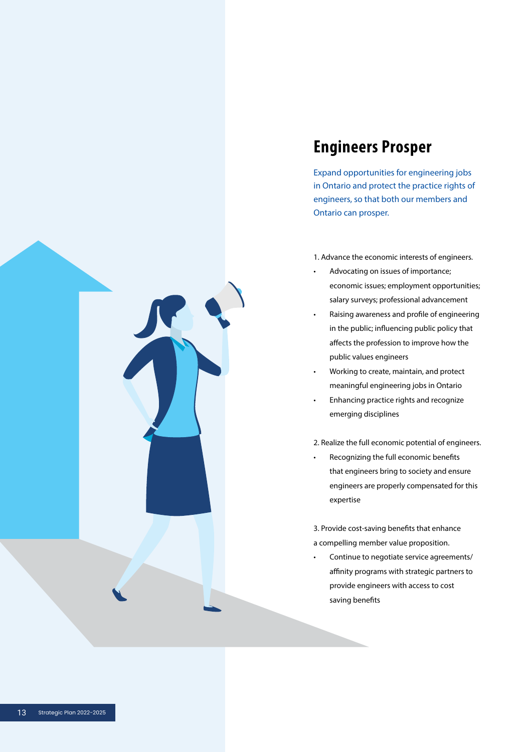

### Engineers Prosper

Expand opportunities for engineering jobs in Ontario and protect the practice rights of engineers, so that both our members and Ontario can prosper.

- 1. Advance the economic interests of engineers.
- Advocating on issues of importance; economic issues; employment opportunities; salary surveys; professional advancement
- Raising awareness and profile of engineering in the public; influencing public policy that affects the profession to improve how the public values engineers
- Working to create, maintain, and protect meaningful engineering jobs in Ontario
- Enhancing practice rights and recognize emerging disciplines

2. Realize the full economic potential of engineers.

• Recognizing the full economic benefits that engineers bring to society and ensure engineers are properly compensated for this expertise

3. Provide cost-saving benefits that enhance a compelling member value proposition.

• Continue to negotiate service agreements/ affinity programs with strategic partners to provide engineers with access to cost saving benefits